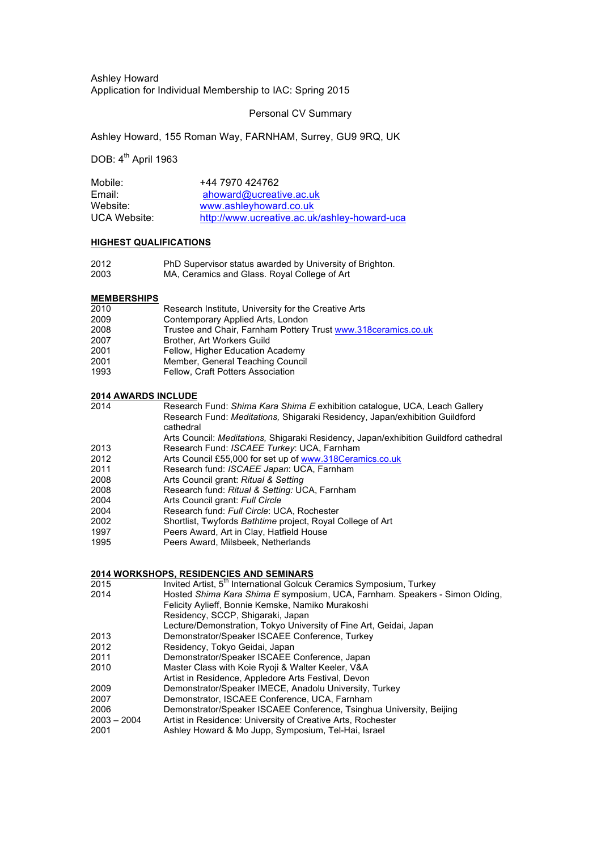Ashley Howard Application for Individual Membership to IAC: Spring 2015

Personal CV Summary

Ashley Howard, 155 Roman Way, FARNHAM, Surrey, GU9 9RQ, UK

DOB:  $4<sup>th</sup>$  April 1963

| Mobile:             | +44 7970 424762                              |
|---------------------|----------------------------------------------|
| Email:              | ahoward@ucreative.ac.uk                      |
| Website:            | www.ashleyhoward.co.uk                       |
| <b>UCA Website:</b> | http://www.ucreative.ac.uk/ashley-howard-uca |

### **HIGHEST QUALIFICATIONS**

| 2012 | PhD Supervisor status awarded by University of Brighton. |
|------|----------------------------------------------------------|
| 2003 | MA, Ceramics and Glass. Royal College of Art             |

### **MEMBERSHIPS**

- 2010 Research Institute, University for the Creative Arts
- 2009 Contemporary Applied Arts, London<br>2008 Trustee and Chair Farnham Pottery
- 2008 Trustee and Chair, Farnham Pottery Trust www.318ceramics.co.uk<br>2007 Brother, Art Workers Guild
- Brother, Art Workers Guild
- 2001 Fellow, Higher Education Academy
- 2001 Member, General Teaching Council<br>1993 Fellow, Craft Potters Association
- Fellow, Craft Potters Association

#### **2014 AWARDS INCLUDE**

- 2014 Research Fund: *Shima Kara Shima E* exhibition catalogue, UCA, Leach Gallery Research Fund: *Meditations,* Shigaraki Residency, Japan/exhibition Guildford cathedral
- Arts Council: *Meditations,* Shigaraki Residency, Japan/exhibition Guildford cathedral 2013 Research Fund: *ISCAEE Turkey*: UCA, Farnham
- 
- 2012 Arts Council £55,000 for set up of www.318Ceramics.co.uk<br>2011 Research fund: ISCAEE Japan: UCA. Farnham
- 2011 Research fund: *ISCAEE Japan*: UCA, Farnham
- 2008 Arts Council grant: *Ritual & Setting* 2008 Research fund: *Ritual & Setting:* UCA, Farnham
- 2004 Arts Council grant: *Full Circle*
- 2004 Research fund: *Full Circle*: UCA, Rochester
- 2002 Shortlist, Twyfords *Bathtime* project, Royal College of Art
- 1997 Peers Award, Art in Clay, Hatfield House
- 1995 Peers Award, Milsbeek, Netherlands

### **2014 WORKSHOPS, RESIDENCIES AND SEMINARS**

- 2015 Invited Artist, 5<sup>th</sup> International Golcuk Ceramics Symposium, Turkey
- 2014 Hosted *Shima Kara Shima E* symposium, UCA, Farnham. Speakers Simon Olding, Felicity Aylieff, Bonnie Kemske, Namiko Murakoshi
- Residency, SCCP, Shigaraki, Japan
	- Lecture/Demonstration, Tokyo University of Fine Art, Geidai, Japan
- 2013 Demonstrator/Speaker ISCAEE Conference, Turkey
- 2012 Residency, Tokyo Geidai, Japan<br>2011 Demonstrator/Speaker ISCAEE (
- Demonstrator/Speaker ISCAEE Conference, Japan
- 2010 Master Class with Koie Ryoji & Walter Keeler, V&A
- Artist in Residence, Appledore Arts Festival, Devon
- 2009 Demonstrator/Speaker IMECE, Anadolu University, Turkey
- 2007 Demonstrator, ISCAEE Conference, UCA, Farnham
- 2006 Demonstrator/Speaker ISCAEE Conference, Tsinghua University, Beijing
- 2003 2004 Artist in Residence: University of Creative Arts, Rochester
- 2001 Ashley Howard & Mo Jupp, Symposium, Tel-Hai, Israel